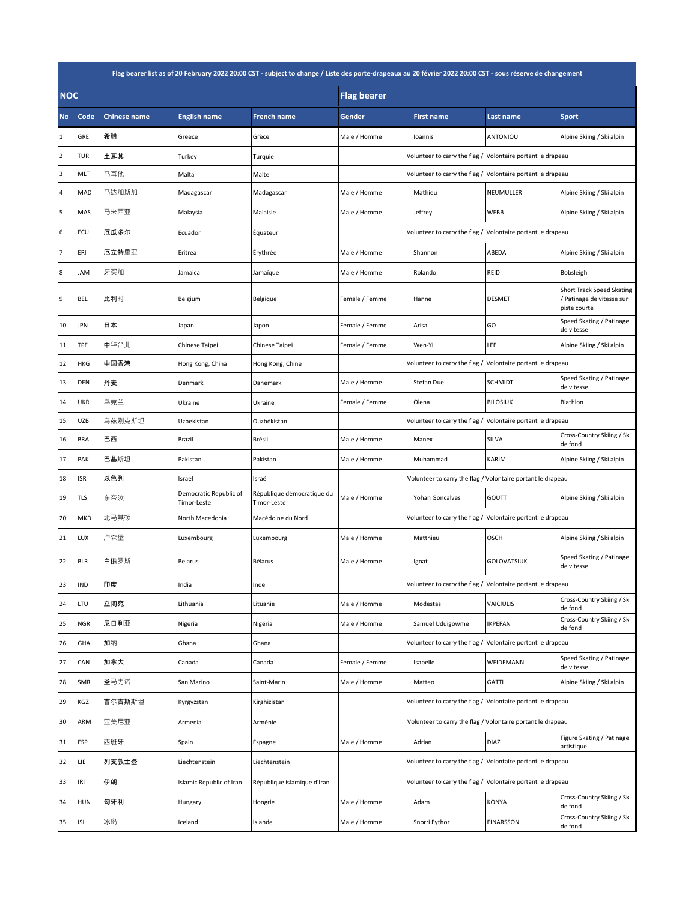| Flag bearer list as of 20 February 2022 20:00 CST - subject to change / Liste des porte-drapeaux au 20 février 2022 20:00 CST - sous réserve de changement |            |                     |                                       |                                           |                                                             |                                                             |                    |                                                                        |  |
|------------------------------------------------------------------------------------------------------------------------------------------------------------|------------|---------------------|---------------------------------------|-------------------------------------------|-------------------------------------------------------------|-------------------------------------------------------------|--------------------|------------------------------------------------------------------------|--|
| <b>NOC</b>                                                                                                                                                 |            |                     |                                       | <b>Flag bearer</b>                        |                                                             |                                                             |                    |                                                                        |  |
| <b>No</b>                                                                                                                                                  | Code       | <b>Chinese name</b> | <b>English name</b>                   | <b>French name</b>                        | Gender                                                      | <b>First name</b>                                           | <b>Last name</b>   | <b>Sport</b>                                                           |  |
| 1                                                                                                                                                          | GRE        | 希腊                  | Greece                                | Grèce                                     | Male / Homme                                                | Ioannis                                                     | ANTONIOU           | Alpine Skiing / Ski alpin                                              |  |
| 2                                                                                                                                                          | TUR        | 土耳其                 | Turkey                                | Turquie                                   |                                                             | Volunteer to carry the flag / Volontaire portant le drapeau |                    |                                                                        |  |
| 3                                                                                                                                                          | MLT        | 马耳他                 | Malta                                 | Malte                                     |                                                             | Volunteer to carry the flag / Volontaire portant le drapeau |                    |                                                                        |  |
| 4                                                                                                                                                          | MAD        | 马达加斯加               | Madagascar                            | Madagascar                                | Male / Homme                                                | Mathieu                                                     | NEUMULLER          | Alpine Skiing / Ski alpin                                              |  |
| 5                                                                                                                                                          | MAS        | 马来西亚                | Malaysia                              | Malaisie                                  | Male / Homme                                                | Jeffrey                                                     | <b>WEBB</b>        | Alpine Skiing / Ski alpin                                              |  |
| 6                                                                                                                                                          | ECU        | 厄瓜多尔                | Ecuador                               | Équateur                                  | Volunteer to carry the flag / Volontaire portant le drapeau |                                                             |                    |                                                                        |  |
| $\overline{7}$                                                                                                                                             | ERI        | 厄立特里亚               | Eritrea                               | Érythrée                                  | Male / Homme                                                | Shannon                                                     | ABEDA              | Alpine Skiing / Ski alpin                                              |  |
| 8                                                                                                                                                          | JAM        | 牙买加                 | Jamaica                               | Jamaïque                                  | Male / Homme                                                | Rolando                                                     | REID               | Bobsleigh                                                              |  |
| 9                                                                                                                                                          | BEL        | 比利时                 | Belgium                               | Belgique                                  | Female / Femme                                              | Hanne                                                       | <b>DESMET</b>      | Short Track Speed Skating<br>/ Patinage de vitesse sur<br>piste courte |  |
| 10                                                                                                                                                         | JPN        | 日本                  | Japan                                 | Japon                                     | Female / Femme                                              | Arisa                                                       | GO                 | Speed Skating / Patinage<br>de vitesse                                 |  |
| 11                                                                                                                                                         | TPE        | 中华台北                | Chinese Taipei                        | Chinese Taipei                            | Female / Femme                                              | Wen-Yi                                                      | LEE                | Alpine Skiing / Ski alpin                                              |  |
| 12                                                                                                                                                         | HKG        | 中国香港                | Hong Kong, China                      | Hong Kong, Chine                          | Volunteer to carry the flag / Volontaire portant le drapeau |                                                             |                    |                                                                        |  |
| 13                                                                                                                                                         | DEN        | 丹麦                  | Denmark                               | Danemark                                  | Male / Homme                                                | Stefan Due                                                  | <b>SCHMIDT</b>     | Speed Skating / Patinage<br>de vitesse                                 |  |
| 14                                                                                                                                                         | UKR        | 乌克兰                 | Ukraine                               | Ukraine                                   | Female / Femme                                              | Olena                                                       | <b>BILOSIUK</b>    | Biathlon                                                               |  |
| 15                                                                                                                                                         | UZB        | 乌兹别克斯坦              | Uzbekistan                            | Ouzbékistan                               |                                                             | Volunteer to carry the flag / Volontaire portant le drapeau |                    |                                                                        |  |
| 16                                                                                                                                                         | <b>BRA</b> | 巴西                  | Brazil                                | Brésil                                    | Male / Homme                                                | Manex                                                       | SILVA              | Cross-Country Skiing / Ski<br>de fond                                  |  |
| 17                                                                                                                                                         | PAK        | 巴基斯坦                | Pakistan                              | Pakistan                                  | Male / Homme                                                | Muhammad                                                    | KARIM              | Alpine Skiing / Ski alpin                                              |  |
| 18                                                                                                                                                         | <b>ISR</b> | 以色列                 | Israel                                | Israël                                    | Volunteer to carry the flag / Volontaire portant le drapeau |                                                             |                    |                                                                        |  |
| 19                                                                                                                                                         | TLS        | 东帝汶                 | Democratic Republic of<br>Timor-Leste | République démocratique du<br>Timor-Leste | Male / Homme                                                | Yohan Goncalves                                             | GOUTT              | Alpine Skiing / Ski alpin                                              |  |
| 20                                                                                                                                                         | MKD        | 北马其顿                | North Macedonia                       | Macédoine du Nord                         | Volunteer to carry the flag / Volontaire portant le drapeau |                                                             |                    |                                                                        |  |
| 21                                                                                                                                                         | LUX        | 卢森堡                 | Luxembourg                            | Luxembourg                                | Male / Homme                                                | Matthieu                                                    | OSCH               | Alpine Skiing / Ski alpin                                              |  |
| 22                                                                                                                                                         | <b>BLR</b> | 白俄罗斯                | <b>Belarus</b>                        | Bélarus                                   | Male / Homme                                                | Ignat                                                       | <b>GOLOVATSIUK</b> | Speed Skating / Patinage<br>de vitesse                                 |  |
| 23                                                                                                                                                         | <b>IND</b> | 印度                  | India                                 | Inde                                      | Volunteer to carry the flag / Volontaire portant le drapeau |                                                             |                    |                                                                        |  |
| 24                                                                                                                                                         | LTU        | 立陶宛                 | Lithuania                             | Lituanie                                  | Male / Homme                                                | Modestas                                                    | VAICIULIS          | Cross-Country Skiing / Ski<br>de fond                                  |  |
| 25                                                                                                                                                         | <b>NGR</b> | 尼日利亚                | Nigeria                               | Nigéria                                   | Male / Homme                                                | Samuel Uduigowme                                            | IKPEFAN            | Cross-Country Skiing / Ski<br>de fond                                  |  |
| 26                                                                                                                                                         | GHA        | 加纳                  | Ghana                                 | Ghana                                     | Volunteer to carry the flag / Volontaire portant le drapeau |                                                             |                    |                                                                        |  |
| 27                                                                                                                                                         | CAN        | 加拿大                 | Canada                                | Canada                                    | Female / Femme                                              | Isabelle                                                    | WEIDEMANN          | Speed Skating / Patinage<br>de vitesse                                 |  |
| 28                                                                                                                                                         | SMR        | 圣马力诺                | San Marino                            | Saint-Marin                               | Male / Homme                                                | Matteo                                                      | GATTI              | Alpine Skiing / Ski alpin                                              |  |
| 29                                                                                                                                                         | KGZ        | 吉尔吉斯斯坦              | Kyrgyzstan                            | Kirghizistan                              | Volunteer to carry the flag / Volontaire portant le drapeau |                                                             |                    |                                                                        |  |
| 30                                                                                                                                                         | ARM        | 亚美尼亚                | Armenia                               | Arménie                                   | Volunteer to carry the flag / Volontaire portant le drapeau |                                                             |                    |                                                                        |  |
| 31                                                                                                                                                         | ESP        | 西班牙                 | Spain                                 | Espagne                                   | Male / Homme                                                | Adrian                                                      | DIAZ               | Figure Skating / Patinage<br>artistique                                |  |
| 32                                                                                                                                                         | LIE        | 列支敦士登               | Liechtenstein                         | Liechtenstein                             | Volunteer to carry the flag / Volontaire portant le drapeau |                                                             |                    |                                                                        |  |
| 33                                                                                                                                                         | IRI        | 伊朗                  | Islamic Republic of Iran              | République islamique d'Iran               | Volunteer to carry the flag / Volontaire portant le drapeau |                                                             |                    |                                                                        |  |
| 34                                                                                                                                                         | <b>HUN</b> | 匈牙利                 | Hungary                               | Hongrie                                   | Male / Homme                                                | Adam                                                        | KONYA              | Cross-Country Skiing / Ski<br>de fond                                  |  |
| 35                                                                                                                                                         | <b>ISL</b> | 冰岛                  | Iceland                               | Islande                                   | Male / Homme                                                | Snorri Eythor                                               | EINARSSON          | Cross-Country Skiing / Ski<br>de fond                                  |  |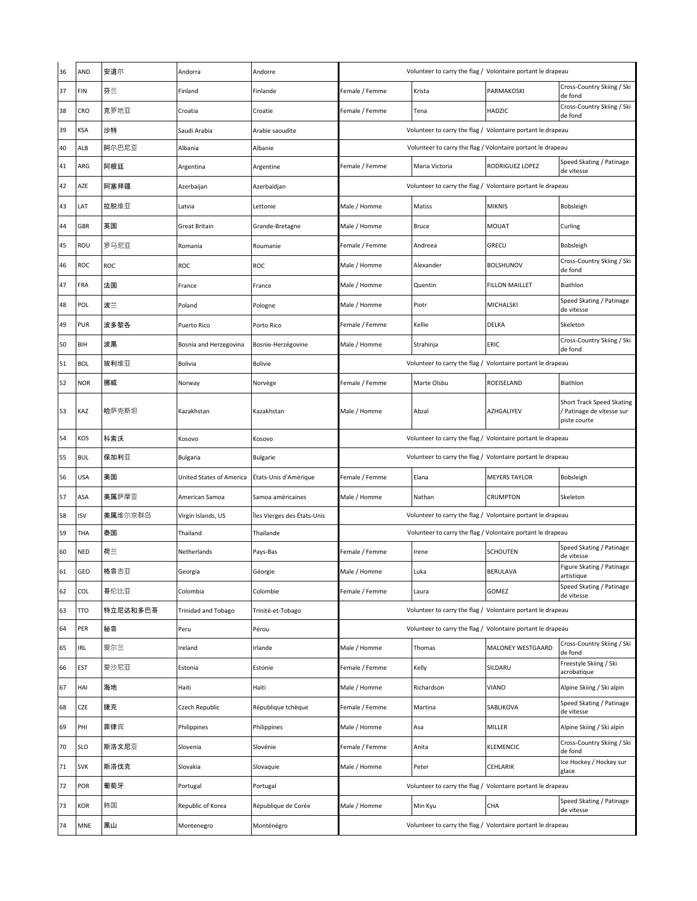| 36 | AND        | 安道尔      | Andorra                    | Andorre                     | Volunteer to carry the flag / Volontaire portant le drapeau |                |                       |                                                                        |  |
|----|------------|----------|----------------------------|-----------------------------|-------------------------------------------------------------|----------------|-----------------------|------------------------------------------------------------------------|--|
| 37 | FIN        | 芬兰       | Finland                    | Finlande                    | Female / Femme                                              | Krista         | PARMAKOSKI            | Cross-Country Skiing / Ski<br>de fond                                  |  |
| 38 | CRO        | 克罗地亚     | Croatia                    | Croatie                     | Female / Femme                                              | Tena           | HADZIC                | Cross-Country Skiing / Ski<br>de fond                                  |  |
| 39 | KSA        | 沙特       | Saudi Arabia               | Arabie saoudite             | Volunteer to carry the flag / Volontaire portant le drapeau |                |                       |                                                                        |  |
| 40 | ALB        | 阿尔巴尼亚    | Albania                    | Albanie                     | Volunteer to carry the flag / Volontaire portant le drapeau |                |                       |                                                                        |  |
| 41 | ARG        | 阿根廷      | Argentina                  | Argentine                   | Female / Femme                                              | Maria Victoria | RODRIGUEZ LOPEZ       | Speed Skating / Patinage<br>de vitesse                                 |  |
| 42 | AZE        | 阿塞拜疆     | Azerbaijan                 | Azerbaïdjan                 | Volunteer to carry the flag / Volontaire portant le drapeau |                |                       |                                                                        |  |
| 43 | LAT        | 拉脱维亚     | Latvia                     | Lettonie                    | Male / Homme                                                | Matiss         | <b>MIKNIS</b>         | Bobsleigh                                                              |  |
| 44 | GBR        | 英国       | <b>Great Britain</b>       | Grande-Bretagne             | Male / Homme                                                | <b>Bruce</b>   | <b>MOUAT</b>          | Curling                                                                |  |
| 45 | ROU        | 罗马尼亚     | Romania                    | Roumanie                    | Female / Femme                                              | Andreea        | GRECU                 | Bobsleigh                                                              |  |
| 46 | ROC        | ROC      | ROC                        | ROC                         | Male / Homme                                                | Alexander      | <b>BOLSHUNOV</b>      | Cross-Country Skiing / Ski<br>de fond                                  |  |
| 47 | FRA        | 法国       | France                     | France                      | Male / Homme                                                | Quentin        | <b>FILLON MAILLET</b> | Biathlon                                                               |  |
| 48 | POL        | 波兰       | Poland                     | Pologne                     | Male / Homme                                                | Piotr          | MICHALSKI             | Speed Skating / Patinage<br>de vitesse                                 |  |
| 49 | PUR        | 波多黎各     | Puerto Rico                | Porto Rico                  | Female / Femme                                              | Kellie         | DELKA                 | Skeleton                                                               |  |
| 50 | BIH        | 波黑       | Bosnia and Herzegovina     | Bosnie-Herzégovine          | Male / Homme                                                | Strahinja      | ERIC                  | Cross-Country Skiing / Ski<br>de fond                                  |  |
| 51 | <b>BOL</b> | 玻利维亚     | Bolivia                    | <b>Bolivie</b>              | Volunteer to carry the flag / Volontaire portant le drapeau |                |                       |                                                                        |  |
| 52 | NOR        | 挪威       | Norway                     | Norvège                     | Female / Femme                                              | Marte Olsbu    | ROEISELAND            | Biathlon                                                               |  |
| 53 | KAZ        | 哈萨克斯坦    | Kazakhstan                 | Kazakhstan                  | Male / Homme                                                | Abzal          | AZHGALIYEV            | Short Track Speed Skating<br>/ Patinage de vitesse sur<br>piste courte |  |
| 54 | KOS        | 科索沃      | Kosovo                     | Kosovo                      | Volunteer to carry the flag / Volontaire portant le drapeau |                |                       |                                                                        |  |
| 55 | <b>BUL</b> | 保加利亚     | Bulgaria                   | <b>Bulgarie</b>             | Volunteer to carry the flag / Volontaire portant le drapeau |                |                       |                                                                        |  |
| 56 | USA        | 美国       | United States of America   | États-Unis d'Amérique       | Female / Femme                                              | Elana          | <b>MEYERS TAYLOR</b>  | Bobsleigh                                                              |  |
| 57 | ASA        | 美属萨摩亚    | American Samoa             | Samoa américaines           | Male / Homme                                                | Nathan         | <b>CRUMPTON</b>       | Skeleton                                                               |  |
| 58 | ISV        | 美属维尔京群岛  | Virgin Islands, US         | Îles Vierges des États-Unis | Volunteer to carry the flag / Volontaire portant le drapeau |                |                       |                                                                        |  |
| 59 | THA        | 泰国       | Thailand                   | Thaïlande                   | Volunteer to carry the flag / Volontaire portant le drapeau |                |                       |                                                                        |  |
| 60 | <b>NED</b> | 荷兰       | Netherlands                | Pays-Bas                    | Female / Femme                                              | Irene          | <b>SCHOUTEN</b>       | Speed Skating / Patinage<br>de vitesse                                 |  |
| 61 | GEO        | 格鲁吉亚     | Georgia                    | Géorgie                     | Aale / Homme                                                | Luka           | BERULAVA              | Figure Skating / Patinage<br>artistique                                |  |
| 62 | COL        | 哥伦比亚     | Colombia                   | Colombie                    | Female / Femme                                              | Laura          | GOMEZ                 | Speed Skating / Patinage<br>de vitesse                                 |  |
| 63 | <b>TTO</b> | 特立尼达和多巴哥 | <b>Trinidad and Tobago</b> | Trinité-et-Tobago           | Volunteer to carry the flag / Volontaire portant le drapeau |                |                       |                                                                        |  |
| 64 | PER        | 秘鲁       | Peru                       | Pérou                       | Volunteer to carry the flag / Volontaire portant le drapeau |                |                       |                                                                        |  |
| 65 | IRL        | 爱尔兰      | Ireland                    | Irlande                     | Male / Homme                                                | Thomas         | MALONEY WESTGAARD     | Cross-Country Skiing / Ski<br>de fond                                  |  |
| 66 | EST        | 爱沙尼亚     | Estonia                    | Estonie                     | Female / Femme                                              | Kelly          | SILDARU               | Freestyle Skiing / Ski<br>acrobatique                                  |  |
| 67 | HAI        | 海地       | Haiti                      | Haïti                       | Male / Homme                                                | Richardson     | <b>VIANO</b>          | Alpine Skiing / Ski alpin                                              |  |
| 68 | CZE        | 捷克       | Czech Republic             | République tchèque          | Female / Femme                                              | Martina        | SABLIKOVA             | Speed Skating / Patinage<br>de vitesse                                 |  |
| 69 | PHI        | 菲律宾      | Philippines                | Philippines                 | Male / Homme                                                | Asa            | MILLER                | Alpine Skiing / Ski alpin                                              |  |
| 70 | <b>SLO</b> | 斯洛文尼亚    | Slovenia                   | Slovénie                    | Female / Femme                                              | Anita          | KLEMENCIC             | Cross-Country Skiing / Ski<br>de fond                                  |  |
| 71 | <b>SVK</b> | 斯洛伐克     | Slovakia                   | Slovaquie                   | Male / Homme                                                | Peter          | CEHLARIK              | Ice Hockey / Hockey sur<br>glace                                       |  |
| 72 | POR        | 葡萄牙      | Portugal                   | Portugal                    | Volunteer to carry the flag / Volontaire portant le drapeau |                |                       |                                                                        |  |
| 73 | KOR        | 韩国       | Republic of Korea          | République de Corée         | Male / Homme                                                | Min Kyu        | CHA                   | Speed Skating / Patinage<br>de vitesse                                 |  |
| 74 | MNE        | 黑山       | Montenegro                 | Monténégro                  | Volunteer to carry the flag / Volontaire portant le drapeau |                |                       |                                                                        |  |